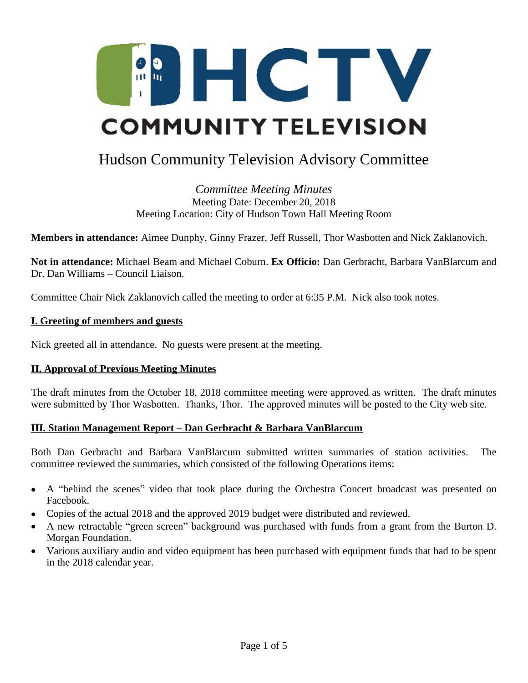

# Hudson Community Television Advisory Committee

*Committee Meeting Minutes* Meeting Date: December 20, 2018 Meeting Location: City of Hudson Town Hall Meeting Room

**Members in attendance:** Aimee Dunphy, Ginny Frazer, Jeff Russell, Thor Wasbotten and Nick Zaklanovich.

**Not in attendance:** Michael Beam and Michael Coburn. **Ex Officio:** Dan Gerbracht, Barbara VanBlarcum and Dr. Dan Williams – Council Liaison.

Committee Chair Nick Zaklanovich called the meeting to order at 6:35 P.M. Nick also took notes.

#### **I. Greeting of members and guests**

Nick greeted all in attendance. No guests were present at the meeting.

#### **II. Approval of Previous Meeting Minutes**

The draft minutes from the October 18, 2018 committee meeting were approved as written. The draft minutes were submitted by Thor Wasbotten. Thanks, Thor. The approved minutes will be posted to the City web site.

#### **III. Station Management Report – Dan Gerbracht & Barbara VanBlarcum**

Both Dan Gerbracht and Barbara VanBlarcum submitted written summaries of station activities. The committee reviewed the summaries, which consisted of the following Operations items:

- A "behind the scenes" video that took place during the Orchestra Concert broadcast was presented on Facebook.
- Copies of the actual 2018 and the approved 2019 budget were distributed and reviewed.
- A new retractable "green screen" background was purchased with funds from a grant from the Burton D. Morgan Foundation.
- Various auxiliary audio and video equipment has been purchased with equipment funds that had to be spent in the 2018 calendar year.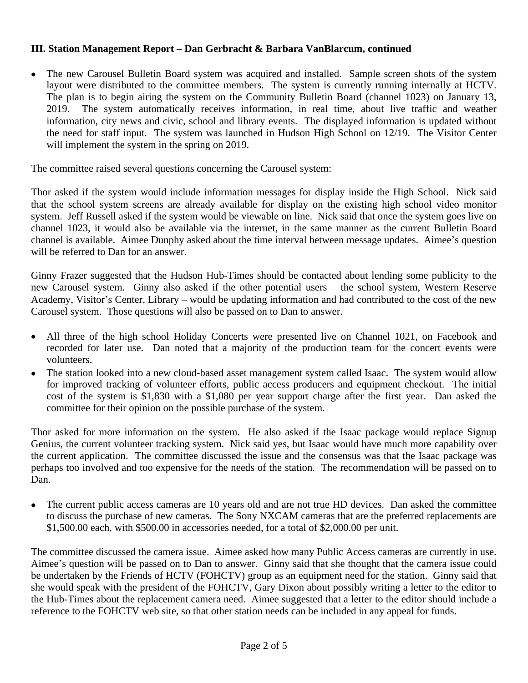## **III. Station Management Report – Dan Gerbracht & Barbara VanBlarcum, continued**

• The new Carousel Bulletin Board system was acquired and installed. Sample screen shots of the system layout were distributed to the committee members. The system is currently running internally at HCTV. The plan is to begin airing the system on the Community Bulletin Board (channel 1023) on January 13, 2019. The system automatically receives information, in real time, about live traffic and weather information, city news and civic, school and library events. The displayed information is updated without the need for staff input. The system was launched in Hudson High School on 12/19. The Visitor Center will implement the system in the spring on 2019.

The committee raised several questions concerning the Carousel system:

Thor asked if the system would include information messages for display inside the High School. Nick said that the school system screens are already available for display on the existing high school video monitor system. Jeff Russell asked if the system would be viewable on line. Nick said that once the system goes live on channel 1023, it would also be available via the internet, in the same manner as the current Bulletin Board channel is available. Aimee Dunphy asked about the time interval between message updates. Aimee's question will be referred to Dan for an answer.

Ginny Frazer suggested that the Hudson Hub-Times should be contacted about lending some publicity to the new Carousel system. Ginny also asked if the other potential users – the school system, Western Reserve Academy, Visitor's Center, Library – would be updating information and had contributed to the cost of the new Carousel system. Those questions will also be passed on to Dan to answer.

- All three of the high school Holiday Concerts were presented live on Channel 1021, on Facebook and recorded for later use. Dan noted that a majority of the production team for the concert events were volunteers.
- The station looked into a new cloud-based asset management system called Isaac. The system would allow for improved tracking of volunteer efforts, public access producers and equipment checkout. The initial cost of the system is \$1,830 with a \$1,080 per year support charge after the first year. Dan asked the committee for their opinion on the possible purchase of the system.

Thor asked for more information on the system. He also asked if the Isaac package would replace Signup Genius, the current volunteer tracking system. Nick said yes, but Isaac would have much more capability over the current application. The committee discussed the issue and the consensus was that the Isaac package was perhaps too involved and too expensive for the needs of the station. The recommendation will be passed on to Dan.

 The current public access cameras are 10 years old and are not true HD devices. Dan asked the committee to discuss the purchase of new cameras. The Sony NXCAM cameras that are the preferred replacements are \$1,500.00 each, with \$500.00 in accessories needed, for a total of \$2,000.00 per unit.

The committee discussed the camera issue. Aimee asked how many Public Access cameras are currently in use. Aimee's question will be passed on to Dan to answer. Ginny said that she thought that the camera issue could be undertaken by the Friends of HCTV (FOHCTV) group as an equipment need for the station. Ginny said that she would speak with the president of the FOHCTV, Gary Dixon about possibly writing a letter to the editor to the Hub-Times about the replacement camera need. Aimee suggested that a letter to the editor should include a reference to the FOHCTV web site, so that other station needs can be included in any appeal for funds.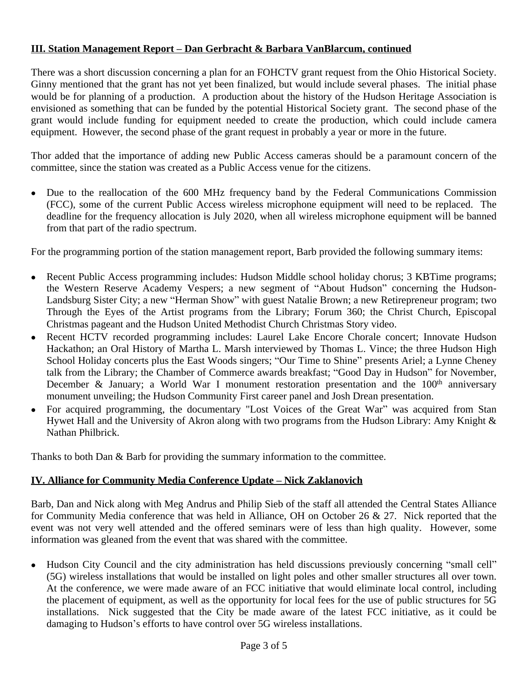# **III. Station Management Report – Dan Gerbracht & Barbara VanBlarcum, continued**

There was a short discussion concerning a plan for an FOHCTV grant request from the Ohio Historical Society. Ginny mentioned that the grant has not yet been finalized, but would include several phases. The initial phase would be for planning of a production. A production about the history of the Hudson Heritage Association is envisioned as something that can be funded by the potential Historical Society grant. The second phase of the grant would include funding for equipment needed to create the production, which could include camera equipment. However, the second phase of the grant request in probably a year or more in the future.

Thor added that the importance of adding new Public Access cameras should be a paramount concern of the committee, since the station was created as a Public Access venue for the citizens.

 Due to the reallocation of the 600 MHz frequency band by the Federal Communications Commission (FCC), some of the current Public Access wireless microphone equipment will need to be replaced. The deadline for the frequency allocation is July 2020, when all wireless microphone equipment will be banned from that part of the radio spectrum.

For the programming portion of the station management report, Barb provided the following summary items:

- Recent Public Access programming includes: Hudson Middle school holiday chorus; 3 KBTime programs; the Western Reserve Academy Vespers; a new segment of "About Hudson" concerning the Hudson-Landsburg Sister City; a new "Herman Show" with guest Natalie Brown; a new Retirepreneur program; two Through the Eyes of the Artist programs from the Library; Forum 360; the Christ Church, Episcopal Christmas pageant and the Hudson United Methodist Church Christmas Story video.
- Recent HCTV recorded programming includes: Laurel Lake Encore Chorale concert; Innovate Hudson Hackathon; an Oral History of Martha L. Marsh interviewed by Thomas L. Vince; the three Hudson High School Holiday concerts plus the East Woods singers; "Our Time to Shine" presents Ariel; a Lynne Cheney talk from the Library; the Chamber of Commerce awards breakfast; "Good Day in Hudson" for November, December & January; a World War I monument restoration presentation and the  $100<sup>th</sup>$  anniversary monument unveiling; the Hudson Community First career panel and Josh Drean presentation.
- For acquired programming, the documentary "Lost Voices of the Great War" was acquired from Stan Hywet Hall and the University of Akron along with two programs from the Hudson Library: Amy Knight & Nathan Philbrick.

Thanks to both Dan & Barb for providing the summary information to the committee.

# **IV. Alliance for Community Media Conference Update – Nick Zaklanovich**

Barb, Dan and Nick along with Meg Andrus and Philip Sieb of the staff all attended the Central States Alliance for Community Media conference that was held in Alliance, OH on October 26 & 27. Nick reported that the event was not very well attended and the offered seminars were of less than high quality. However, some information was gleaned from the event that was shared with the committee.

• Hudson City Council and the city administration has held discussions previously concerning "small cell" (5G) wireless installations that would be installed on light poles and other smaller structures all over town. At the conference, we were made aware of an FCC initiative that would eliminate local control, including the placement of equipment, as well as the opportunity for local fees for the use of public structures for 5G installations. Nick suggested that the City be made aware of the latest FCC initiative, as it could be damaging to Hudson's efforts to have control over 5G wireless installations.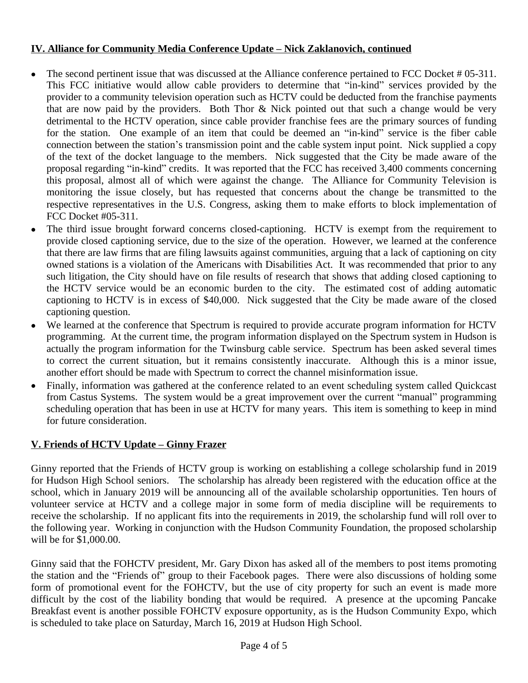# **IV. Alliance for Community Media Conference Update – Nick Zaklanovich, continued**

- The second pertinent issue that was discussed at the Alliance conference pertained to FCC Docket # 05-311. This FCC initiative would allow cable providers to determine that "in-kind" services provided by the provider to a community television operation such as HCTV could be deducted from the franchise payments that are now paid by the providers. Both Thor & Nick pointed out that such a change would be very detrimental to the HCTV operation, since cable provider franchise fees are the primary sources of funding for the station. One example of an item that could be deemed an "in-kind" service is the fiber cable connection between the station's transmission point and the cable system input point. Nick supplied a copy of the text of the docket language to the members. Nick suggested that the City be made aware of the proposal regarding "in-kind" credits. It was reported that the FCC has received 3,400 comments concerning this proposal, almost all of which were against the change. The Alliance for Community Television is monitoring the issue closely, but has requested that concerns about the change be transmitted to the respective representatives in the U.S. Congress, asking them to make efforts to block implementation of FCC Docket #05-311.
- The third issue brought forward concerns closed-captioning. HCTV is exempt from the requirement to provide closed captioning service, due to the size of the operation. However, we learned at the conference that there are law firms that are filing lawsuits against communities, arguing that a lack of captioning on city owned stations is a violation of the Americans with Disabilities Act. It was recommended that prior to any such litigation, the City should have on file results of research that shows that adding closed captioning to the HCTV service would be an economic burden to the city. The estimated cost of adding automatic captioning to HCTV is in excess of \$40,000. Nick suggested that the City be made aware of the closed captioning question.
- We learned at the conference that Spectrum is required to provide accurate program information for HCTV programming. At the current time, the program information displayed on the Spectrum system in Hudson is actually the program information for the Twinsburg cable service. Spectrum has been asked several times to correct the current situation, but it remains consistently inaccurate. Although this is a minor issue, another effort should be made with Spectrum to correct the channel misinformation issue.
- Finally, information was gathered at the conference related to an event scheduling system called Quickcast from Castus Systems. The system would be a great improvement over the current "manual" programming scheduling operation that has been in use at HCTV for many years. This item is something to keep in mind for future consideration.

# **V. Friends of HCTV Update – Ginny Frazer**

Ginny reported that the Friends of HCTV group is working on establishing a college scholarship fund in 2019 for Hudson High School seniors. The scholarship has already been registered with the education office at the school, which in January 2019 will be announcing all of the available scholarship opportunities. Ten hours of volunteer service at HCTV and a college major in some form of media discipline will be requirements to receive the scholarship. If no applicant fits into the requirements in 2019, the scholarship fund will roll over to the following year. Working in conjunction with the Hudson Community Foundation, the proposed scholarship will be for \$1,000.00.

Ginny said that the FOHCTV president, Mr. Gary Dixon has asked all of the members to post items promoting the station and the "Friends of" group to their Facebook pages. There were also discussions of holding some form of promotional event for the FOHCTV, but the use of city property for such an event is made more difficult by the cost of the liability bonding that would be required. A presence at the upcoming Pancake Breakfast event is another possible FOHCTV exposure opportunity, as is the Hudson Community Expo, which is scheduled to take place on Saturday, March 16, 2019 at Hudson High School.